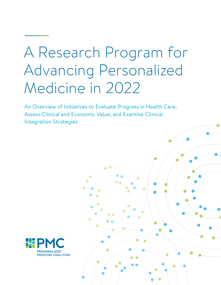# A Research Program for Advancing Personalized Medicine in 2022

An Overview of Initiatives to Evaluate Progress in Health Care, Assess Clinical and Economic Value, and Examine Clinical Integration Strategies



1 A Research Program for Advancing Personalized Medicine in 2022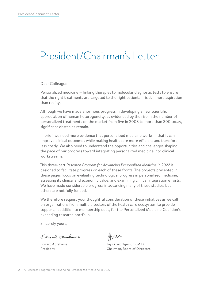### President/Chairman's Letter

Dear Colleague:

Personalized medicine — linking therapies to molecular diagnostic tests to ensure that the right treatments are targeted to the right patients — is still more aspiration than reality.

Although we have made enormous progress in developing a new scientific appreciation of human heterogeneity, as evidenced by the rise in the number of personalized treatments on the market from five in 2008 to more than 300 today, significant obstacles remain.

In brief, we need more evidence that personalized medicine works — that it can improve clinical outcomes while making health care more efficient and therefore less costly. We also need to understand the opportunities and challenges shaping the pace of our progress toward integrating personalized medicine into clinical workstreams.

This three-part *Research Program for Advancing Personalized Medicine in 2022* is designed to facilitate progress on each of these fronts. The projects presented in these pages focus on evaluating technological progress in personalized medicine, assessing its clinical and economic value, and examining clinical integration efforts. We have made considerable progress in advancing many of these studies, but others are not fully funded.

We therefore request your thoughtful consideration of these initiatives as we call on organizations from multiple sectors of the health care ecosystem to provide support, in addition to membership dues, for the Personalized Medicine Coalition's expanding research portfolio.

Sincerely yours,

Edward Chapams

Edward Abrahams President

Arm

Jay G. Wohlgemuth, M.D. Chairman, Board of Directors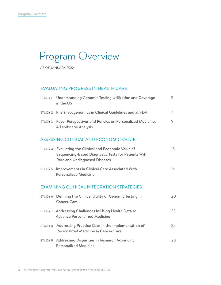## Program Overview

AS OF JANUARY 2022

#### EVALUATING PROGRESS IN HEALTH CARE

|         | STUDY1 Understanding Genomic Testing Utilization and Coverage<br>in the US                                                                   | 5. |
|---------|----------------------------------------------------------------------------------------------------------------------------------------------|----|
|         | STUDY 2 Pharmacogenomics in Clinical Guidelines and at FDA                                                                                   | 7  |
|         | STUDY 3 Payer Perspectives and Policies on Personalized Medicine:<br>A Landscape Analysis                                                    | 9  |
|         | ASSESSING CLINICAL AND ECONOMIC VALUE                                                                                                        |    |
| STUDY 4 | Evaluating the Clinical and Economic Value of<br>Sequencing-Based Diagnostic Tests for Patients With<br><b>Rare and Undiagnosed Diseases</b> | 13 |
|         | STUDY 5 Improvements in Clinical Care Associated With                                                                                        | 16 |

#### EXAMINING CLINICAL INTEGRATION STRATEGIES

[Personalized Medicine](#page-15-0)

| STUDY 6 Defining the Clinical Utility of Genomic Testing in<br><b>Cancer Care</b>                 | 20 |
|---------------------------------------------------------------------------------------------------|----|
| STUDY 7 Addressing Challenges in Using Health Data to<br><b>Advance Personalized Medicine</b>     | 23 |
| STUDY 8 Addressing Practice Gaps in the Implementation of<br>Personalized Medicine in Cancer Care | 25 |
| STUDY 9 Addressing Disparities in Research Advancing<br><b>Personalized Medicine</b>              | 28 |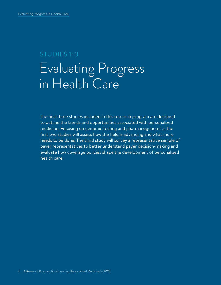## STUDIES 1–3 Evaluating Progress in Health Care

The first three studies included in this research program are designed to outline the trends and opportunities associated with personalized medicine. Focusing on genomic testing and pharmacogenomics, the first two studies will assess how the field is advancing and what more needs to be done. The third study will survey a representative sample of payer representatives to better understand payer decision-making and evaluate how coverage policies shape the development of personalized health care.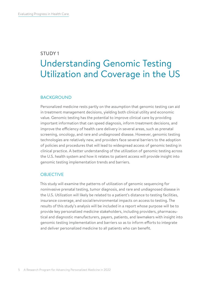### <span id="page-4-0"></span>STUDY 1 Understanding Genomic Testing Utilization and Coverage in the US

#### BACKGROUND

Personalized medicine rests partly on the assumption that genomic testing can aid in treatment management decisions, yielding both clinical utility and economic value. Genomic testing has the potential to improve clinical care by providing important information that can speed diagnosis, inform treatment decisions, and improve the efficiency of health care delivery in several areas, such as prenatal screening, oncology, and rare and undiagnosed disease. However, genomic testing technologies are relatively new, and providers face several barriers to the adoption of policies and procedures that will lead to widespread access of genomic testing in clinical practice. A better understanding of the utilization of genomic testing across the U.S. health system and how it relates to patient access will provide insight into genomic testing implementation trends and barriers.

#### **OBJECTIVE**

This study will examine the patterns of utilization of genomic sequencing for noninvasive prenatal testing, tumor diagnosis, and rare and undiagnosed disease in the U.S. Utilization will likely be related to a patient's distance to testing facilities, insurance coverage, and social/environmental impacts on access to testing. The results of this study's analysis will be included in a report whose purpose will be to provide key personalized medicine stakeholders, including providers, pharmaceutical and diagnostic manufacturers, payers, patients, and lawmakers with insight into genomic testing implementation and barriers so as to inform efforts to integrate and deliver personalized medicine to all patients who can benefit.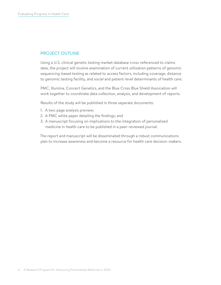#### PROJECT OUTLINE

Using a U.S. clinical genetic testing market database cross-referenced to claims data, the project will involve examination of current utilization patterns of genomic sequencing-based testing as related to access factors, including coverage, distance to genomic testing facility, and social and patient-level determinants of health care.

PMC, Illumina, Concert Genetics, and the Blue Cross Blue Shield Association will work together to coordinate data collection, analysis, and development of reports.

Results of the study will be published in three separate documents:

- 1. A two-page analysis preview;
- 2. A PMC white paper detailing the findings; and
- 3. A manuscript focusing on implications to the integration of personalized medicine in health care to be published in a peer-reviewed journal.

The report and manuscript will be disseminated through a robust communications plan to increase awareness and become a resource for health care decision-makers.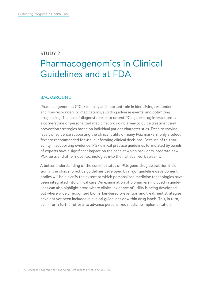### <span id="page-6-0"></span>STUDY 2 Pharmacogenomics in Clinical Guidelines and at FDA

#### BACKGROUND

Pharmacogenomics (PGx) can play an important role in identifying responders and non-responders to medications, avoiding adverse events, and optimizing drug dosing. The use of diagnostic tests to detect PGx gene-drug interactions is a cornerstone of personalized medicine, providing a way to guide treatment and prevention strategies based on individual patient characteristics. Despite varying levels of evidence supporting the clinical utility of many PGx markers, only a select few are recommended for use in informing clinical decisions. Because of this variability in supporting evidence, PGx clinical practice guidelines formulated by panels of experts have a significant impact on the pace at which providers integrate new PGx tests and other novel technologies into their clinical work streams.

A better understanding of the current status of PGx gene-drug association inclusion in the clinical practice guidelines developed by major guideline development bodies will help clarify the extent to which personalized medicine technologies have been integrated into clinical care. An examination of biomarkers included in guidelines can also highlight areas where clinical evidence of utility is being developed but where widely recognized biomarker-based prevention and treatment strategies have not yet been included in clinical guidelines or within drug labels. This, in turn, can inform further efforts to advance personalized medicine implementation.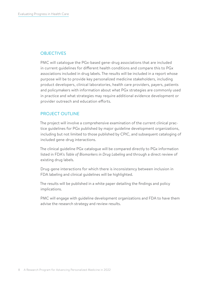#### **OBJECTIVES**

PMC will catalogue the PGx-based gene-drug associations that are included in current guidelines for different health conditions and compare this to PGx associations included in drug labels. The results will be included in a report whose purpose will be to provide key personalized medicine stakeholders, including product developers, clinical laboratories, health care providers, payers, patients and policymakers with information about what PGx strategies are commonly used in practice and what strategies may require additional evidence development or provider outreach and education efforts.

#### PROJECT OUTLINE

The project will involve a comprehensive examination of the current clinical practice guidelines for PGx published by major guideline development organizations, including but not limited to those published by CPIC, and subsequent cataloging of included gene-drug interactions.

The clinical guideline PGx catalogue will be compared directly to PGx information listed in FDA's *Table of Biomarkers in Drug Labeling* and through a direct review of existing drug labels.

Drug-gene interactions for which there is inconsistency between inclusion in FDA labeling and clinical guidelines will be highlighted.

The results will be published in a white paper detailing the findings and policy implications.

PMC will engage with guideline development organizations and FDA to have them advise the research strategy and review results.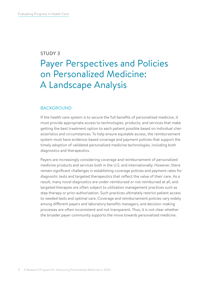#### <span id="page-8-0"></span>STUDY 3

### Payer Perspectives and Policies on Personalized Medicine: A Landscape Analysis

#### BACKGROUND

If the health care system is to secure the full benefits of personalized medicine, it must provide appropriate access to technologies, products, and services that make getting the best treatment option to each patient possible based on individual characteristics and circumstances. To help ensure equitable access, the reimbursement system must have evidence-based coverage and payment policies that support the timely adoption of validated personalized medicine technologies, including both diagnostics and therapeutics.

Payers are increasingly considering coverage and reimbursement of personalized medicine products and services both in the U.S. and internationally. However, there remain significant challenges in establishing coverage policies and payment rates for diagnostic tests and targeted therapeutics that reflect the value of their care. As a result, many novel diagnostics are under-reimbursed or not reimbursed at all, and targeted therapies are often subject to utilization management practices such as step therapy or prior authorization. Such practices ultimately restrict patient access to needed tests and optimal care. Coverage and reimbursement policies vary widely among different payers and laboratory benefits managers, and decision-making processes are often inconsistent and not transparent. Thus, it is not clear whether the broader payer community supports the move towards personalized medicine.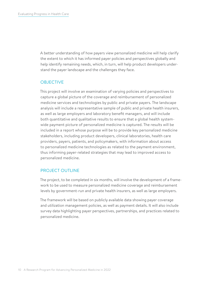A better understanding of how payers view personalized medicine will help clarify the extent to which it has informed payer policies and perspectives globally and help identify remaining needs, which, in turn, will help product developers understand the payer landscape and the challenges they face.

#### **OBJECTIVE**

This project will involve an examination of varying policies and perspectives to capture a global picture of the coverage and reimbursement of personalized medicine services and technologies by public and private payers. The landscape analysis will include a representative sample of public and private health insurers, as well as large employers and laboratory benefit managers, and will include both quantitative and qualitative results to ensure that a global health systemwide payment picture of personalized medicine is captured. The results will be included in a report whose purpose will be to provide key personalized medicine stakeholders, including product developers, clinical laboratories, health care providers, payers, patients, and policymakers, with information about access to personalized medicine technologies as related to the payment environment, thus informing payer-related strategies that may lead to improved access to personalized medicine.

#### PROJECT OUTLINE

The project, to be completed in six months, will involve the development of a framework to be used to measure personalized medicine coverage and reimbursement levels by government-run and private health insurers, as well as large employers.

The framework will be based on publicly available data showing payer coverage and utilization management policies, as well as payment details. It will also include survey data highlighting payer perspectives, partnerships, and practices related to personalized medicine.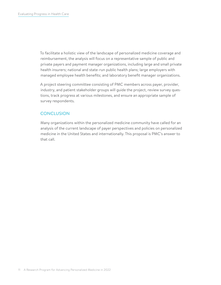To facilitate a holistic view of the landscape of personalized medicine coverage and reimbursement, the analysis will focus on a representative sample of public and private payers and payment manager organizations, including large and small private health insurers; national and state-run public health plans; large employers with managed employee health benefits; and laboratory benefit manager organizations.

A project steering committee consisting of PMC members across payer, provider, industry, and patient stakeholder groups will guide the project, review survey questions, track progress at various milestones, and ensure an appropriate sample of survey respondents.

#### **CONCLUSION**

Many organizations within the personalized medicine community have called for an analysis of the current landscape of payer perspectives and policies on personalized medicine in the United States and internationally. This proposal is PMC's answer to that call.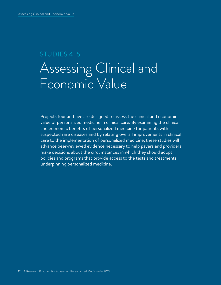## STUDIES 4–5 Assessing Clinical and Economic Value

Projects four and five are designed to assess the clinical and economic value of personalized medicine in clinical care. By examining the clinical and economic benefits of personalized medicine for patients with suspected rare diseases and by relating overall improvements in clinical care to the implementation of personalized medicine, these studies will advance peer-reviewed evidence necessary to help payers and providers make decisions about the circumstances in which they should adopt policies and programs that provide access to the tests and treatments underpinning personalized medicine.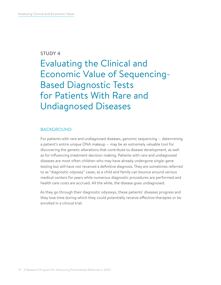#### <span id="page-12-0"></span>STUDY 4

Evaluating the Clinical and Economic Value of Sequencing-Based Diagnostic Tests for Patients With Rare and Undiagnosed Diseases

#### BACKGROUND

For patients with rare and undiagnosed diseases, genomic sequencing — determining a patient's entire unique DNA makeup — may be an extremely valuable tool for discovering the genetic alterations that contribute to disease development, as well as for influencing treatment decision-making. Patients with rare and undiagnosed diseases are most often children who may have already undergone single-gene testing but still have not received a definitive diagnosis. They are sometimes referred to as "diagnostic odyssey" cases, as a child and family can bounce around various medical centers for years while numerous diagnostic procedures are performed and health care costs are accrued. All the while, the disease goes undiagnosed.

As they go through their diagnostic odysseys, these patients' diseases progress and they lose time during which they could potentially receive effective therapies or be enrolled in a clinical trial.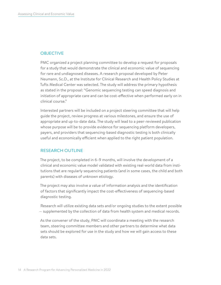#### **OBJECTIVE**

PMC organized a project planning committee to develop a request for proposals for a study that would demonstrate the clinical and economic value of sequencing for rare and undiagnosed diseases. A research proposal developed by Peter Neumann, Sc.D., at the Institute for Clinical Research and Health Policy Studies at Tufts Medical Center was selected. The study will address the primary hypothesis as stated in the proposal: "Genomic sequencing testing can speed diagnosis and initiation of appropriate care and can be cost-effective when performed early on in clinical course."

Interested partners will be included on a project steering committee that will help guide the project, review progress at various milestones, and ensure the use of appropriate and up-to-date data. The study will lead to a peer-reviewed publication whose purpose will be to provide evidence for sequencing platform developers, payers, and providers that sequencing-based diagnostic testing is both clinically useful and economically efficient when applied to the right patient population.

#### RESEARCH OUTLINE

The project, to be completed in 6–9 months, will involve the development of a clinical and economic value model validated with existing real-world data from institutions that are regularly sequencing patients (and in some cases, the child and both parents) with diseases of unknown etiology.

The project may also involve a value of information analysis and the identification of factors that significantly impact the cost-effectiveness of sequencing-based diagnostic testing.

Research will utilize existing data sets and/or ongoing studies to the extent possible — supplemented by the collection of data from health system and medical records.

As the convener of the study, PMC will coordinate a meeting with the research team, steering committee members and other partners to determine what data sets should be explored for use in the study and how we will gain access to these data sets.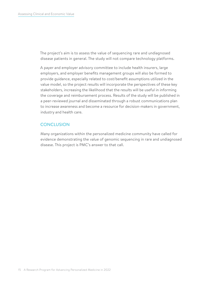The project's aim is to assess the value of sequencing rare and undiagnosed disease patients in general. The study will not compare technology platforms.

A payer and employer advisory committee to include health insurers, large employers, and employer benefits management groups will also be formed to provide guidance, especially related to cost/benefit assumptions utilized in the value model, so the project results will incorporate the perspectives of these key stakeholders, increasing the likelihood that the results will be useful in informing the coverage and reimbursement process. Results of the study will be published in a peer-reviewed journal and disseminated through a robust communications plan to increase awareness and become a resource for decision-makers in government, industry and health care.

#### **CONCLUSION**

Many organizations within the personalized medicine community have called for evidence demonstrating the value of genomic sequencing in rare and undiagnosed disease. This project is PMC's answer to that call.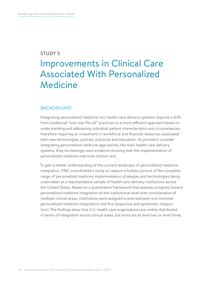#### <span id="page-15-0"></span>STUDY 5

### Improvements in Clinical Care Associated With Personalized Medicine

#### BACKGROUND

Integrating personalized medicine into health care delivery systems requires a shift from traditional "one-size-fits-all" practices to a more efficient approach based on understanding and addressing individual patient characteristics and circumstances, therefore requiring an investment in workforce and financial resources associated with new technologies, policies, practices and education. As providers consider integrating personalized medicine approaches into their health care delivery systems, they increasingly want evidence showing that the implementation of personalized medicine improves clinical care.

To gain a better understanding of the current landscape of personalized medicine integration, PMC coordinated a study to capture a holistic picture of the complete range of personalized medicine implementation strategies and technologies being undertaken at a representative sample of health care delivery institutions across the United States. Based on a quantitative framework that assesses progress toward personalized medicine integration at the institutional level with consideration of multiple clinical areas, institutions were assigned scores between one (minimal personalized medicine integration) and five (expansive and systematic integration). The findings show that U.S. health care organizations are widely distributed in terms of integration across clinical areas, but most are at level two or level three.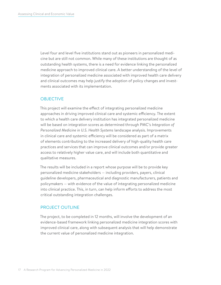Level four and level five institutions stand out as pioneers in personalized medicine but are still not common. While many of these institutions are thought of as outstanding health systems, there is a need for evidence linking the personalized medicine approach to improved clinical care. A better understanding of the level of integration of personalized medicine associated with improved health care delivery and clinical outcomes may help justify the adoption of policy changes and investments associated with its implementation.

#### **OBJECTIVE**

This project will examine the effect of integrating personalized medicine approaches in driving improved clinical care and systemic efficiency. The extent to which a health care delivery institution has integrated personalized medicine will be based on integration scores as determined through PMC's *Integration of Personalized Medicine in U.S. Health Systems* landscape analysis. Improvements in clinical care and systemic efficiency will be considered as part of a matrix of elements contributing to the increased delivery of high-quality health care practices and services that can improve clinical outcomes and/or provide greater access to relatively higher value care, and will include both quantitative and qualitative measures.

The results will be included in a report whose purpose will be to provide key personalized medicine stakeholders — including providers, payers, clinical guideline developers, pharmaceutical and diagnostic manufacturers, patients and policymakers — with evidence of the value of integrating personalized medicine into clinical practice. This, in turn, can help inform efforts to address the most critical outstanding integration challenges.

#### PROJECT OUTLINE

The project, to be completed in 12 months, will involve the development of an evidence-based framework linking personalized medicine integration scores with improved clinical care, along with subsequent analysis that will help demonstrate the current value of personalized medicine integration.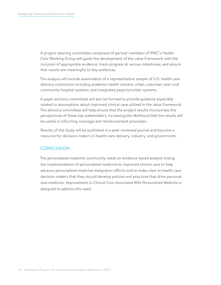A project steering committee composed of partner members of PMC's Health Care Working Group will guide the development of the value framework with the inclusion of appropriate evidence; track progress at various milestones; and ensure that results are meaningful to key audiences.

The analysis will include examination of a representative sample of U.S. health care delivery institutions including academic health centers; urban, suburban, and rural community hospital systems; and integrated payer/provider systems.

A payer advisory committee will also be formed to provide guidance especially related to assumptions about improved clinical care utilized in the value framework. The advisory committee will help ensure that the project results incorporate the perspectives of these key stakeholders, increasing the likelihood that the results will be useful in informing coverage and reimbursement processes.

Results of the study will be published in a peer-reviewed journal and become a resource for decision-makers in health care delivery, industry, and government.

#### **CONCLUSION**

The personalized medicine community needs an evidence-based analysis linking the implementation of personalized medicine to improved clinical care to help advance personalized medicine integration efforts and to make clear to health care decision-makers that they should develop policies and practices that drive personalized medicine. *Improvements in Clinical Care Associated With Personalized Medicine* is designed to address this need.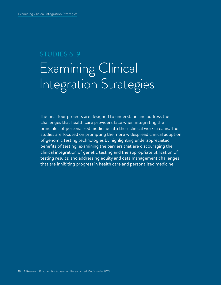## STUDIES 6–9 Examining Clinical Integration Strategies

The final four projects are designed to understand and address the challenges that health care providers face when integrating the principles of personalized medicine into their clinical workstreams. The studies are focused on prompting the more widespread clinical adoption of genomic testing technologies by highlighting underappreciated benefits of testing; examining the barriers that are discouraging the clinical integration of genetic testing and the appropriate utilization of testing results; and addressing equity and data management challenges that are inhibiting progress in health care and personalized medicine.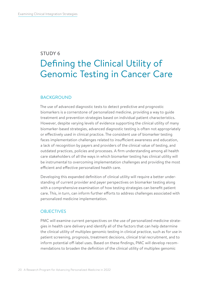### <span id="page-19-0"></span>STUDY 6 Defining the Clinical Utility of Genomic Testing in Cancer Care

#### BACKGROUND

The use of advanced diagnostic tests to detect predictive and prognostic biomarkers is a cornerstone of personalized medicine, providing a way to guide treatment and prevention strategies based on individual patient characteristics. However, despite varying levels of evidence supporting the clinical utility of many biomarker-based strategies, advanced diagnostic testing is often not appropriately or effectively used in clinical practice. The consistent use of biomarker testing faces implementation challenges related to insufficient awareness and education, a lack of recognition by payers and providers of the clinical value of testing, and outdated practices, policies and processes. A firm understanding among all health care stakeholders of all the ways in which biomarker testing has clinical utility will be instrumental to overcoming implementation challenges and providing the most efficient and effective personalized health care.

Developing this expanded definition of clinical utility will require a better understanding of current provider and payer perspectives on biomarker testing along with a comprehensive examination of how testing strategies can benefit patient care. This, in turn, can inform further efforts to address challenges associated with personalized medicine implementation.

#### **OBJECTIVES**

PMC will examine current perspectives on the use of personalized medicine strategies in health care delivery and identify all of the factors that can help determine the clinical utility of multiplex genomic testing in clinical practice, such as for use in patient screening, prognosis, treatment decisions, clinical trial recruitment, and to inform potential off-label uses. Based on these findings, PMC will develop recommendations to broaden the definition of the clinical utility of multiplex genomic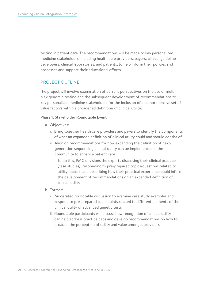testing in patient care. The recommendations will be made to key personalized medicine stakeholders, including health care providers, payers, clinical guideline developers, clinical laboratories, and patients, to help inform their policies and processes and support their educational efforts.

#### PROJECT OUTLINE

The project will involve examination of current perspectives on the use of multiplex genomic testing and the subsequent development of recommendations to key personalized medicine stakeholders for the inclusion of a comprehensive set of value factors within a broadened definition of clinical utility.

#### Phase 1: Stakeholder Roundtable Event

- a. Objectives:
	- i. Bring together health care providers and payers to identify the components of what an expanded definition of clinical utility could and should consist of
	- ii. Align on recommendations for how expanding the definition of nextgeneration sequencing clinical utility can be implemented in the community to enhance patient care
		- $\rightarrow$  To do this, PMC envisions the experts discussing their clinical practice (case studies), responding to pre-prepared topics/questions related to utility factors, and describing how their practical experience could inform the development of recommendations on an expanded definition of clinical utility
- b. Format:
	- i. Moderated roundtable discussion to examine case study examples and respond to pre-prepared topic points related to different elements of the clinical utility of advanced genetic tests
	- ii. Roundtable participants will discuss how recognition of clinical utility can help address practice gaps and develop recommendations on how to broaden the perception of utility and value amongst providers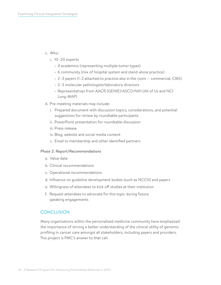#### c. Who:

- i. 10–20 experts
	- › 4 academics (representing multiple tumor types)
	- › 6 community (mix of hospital system and stand-alone practice)
	- $\rightarrow$  2–3 payers (1–2 attached to practice also in the room  $-$  commercial, CMS)
	- › 2–3 molecular pathologists/laboratory directors
	- › Representatives from AACR (GENIE)/ASCO/NIH (All of Us and NCI Lung-MAP)
- d. Pre-meeting materials may include:
	- i. Prepared document with discussion topics, considerations, and potential suggestions for review by roundtable participants
	- ii. PowerPoint presentation for roundtable discussion
	- iii. Press release
	- iv. Blog, website and social media content
	- v. Email to membership and other identified partners

#### Phase 2: Report/Recommendations

- a. Value data
- b. Clinical recommendations
- c. Operational recommendations
- d. Influence on guideline development bodies (such as NCCN) and payers
- e. Willingness of attendees to kick off studies at their institution
- f. Request attendees to advocate for this topic during future speaking engagements

#### CONCLUSION

Many organizations within the personalized medicine community have emphasized the importance of driving a better understanding of the clinical utility of genomic profiling in cancer care amongst all stakeholders, including payers and providers. This project is PMC's answer to that call.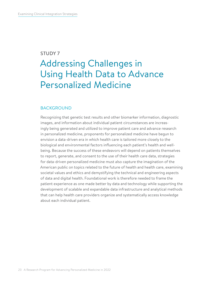#### <span id="page-22-0"></span>STUDY 7

### Addressing Challenges in Using Health Data to Advance Personalized Medicine

#### BACKGROUND

Recognizing that genetic test results and other biomarker information, diagnostic images, and information about individual patient circumstances are increasingly being generated and utilized to improve patient care and advance research in personalized medicine, proponents for personalized medicine have begun to envision a data-driven era in which health care is tailored more closely to the biological and environmental factors influencing each patient's health and wellbeing. Because the success of these endeavors will depend on patients themselves to report, generate, and consent to the use of their health care data, strategies for data-driven personalized medicine must also capture the imagination of the American public on topics related to the future of health and health care, examining societal values and ethics and demystifying the technical and engineering aspects of data and digital health. Foundational work is therefore needed to frame the patient experience as one made better by data and technology while supporting the development of scalable and expandable data infrastructure and analytical methods that can help health care providers organize and systematically access knowledge about each individual patient.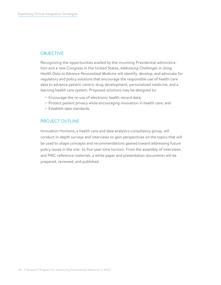#### **OBJECTIVE**

Recognizing the opportunities availed by the incoming Presidential administration and a new Congress in the United States, *Addressing Challenges in Using Health Data to Advance Personalized Medicine* will identify, develop, and advocate for regulatory and policy solutions that encourage the responsible use of health care data to advance patient-centric drug development, personalized medicine, and a learning health care system. Proposed solutions may be designed to:

- Encourage the re-use of electronic health record data;
- Protect patient privacy while encouraging innovation in health care; and
- Establish data standards.

#### PROJECT OUTLINE

Innovation Horizons, a health care and data analytics consultancy group, will conduct in-depth surveys and interviews to gain perspectives on the topics that will be used to shape concepts and recommendations geared toward addressing future policy issues in the one- to five-year time horizon. From the assembly of interviews and PMC reference materials, a white paper and presentation documents will be prepared, reviewed, and published.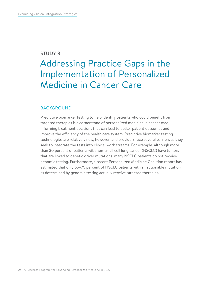#### <span id="page-24-0"></span>STUDY 8

### Addressing Practice Gaps in the Implementation of Personalized Medicine in Cancer Care

#### BACKGROUND

Predictive biomarker testing to help identify patients who could benefit from targeted therapies is a cornerstone of personalized medicine in cancer care, informing treatment decisions that can lead to better patient outcomes and improve the efficiency of the health care system. Predictive biomarker testing technologies are relatively new, however, and providers face several barriers as they seek to integrate the tests into clinical work streams. For example, although more than 30 percent of patients with non-small cell lung cancer (NSCLC) have tumors that are linked to genetic driver mutations, many NSCLC patients do not receive genomic testing. Furthermore, a recent Personalized Medicine Coalition report has estimated that only 65–75 percent of NSCLC patients with an actionable mutation as determined by genomic testing actually receive targeted therapies.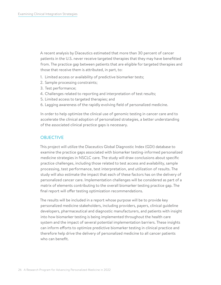A recent analysis by Diaceutics estimated that more than 30 percent of cancer patients in the U.S. never receive targeted therapies that they may have benefitted from. The practice gap between patients that are eligible for targeted therapies and those that receive them is attributed, in part, to:

- 1. Limited access or availability of predictive biomarker tests;
- 2. Sample processing constraints;
- 3. Test performance;
- 4. Challenges related to reporting and interpretation of test results;
- 5. Limited access to targeted therapies; and
- 6. Lagging awareness of the rapidly evolving field of personalized medicine.

In order to help optimize the clinical use of genomic testing in cancer care and to accelerate the clinical adoption of personalized strategies, a better understanding of the associated clinical practice gaps is necessary.

#### **OBJECTIVE**

This project will utilize the Diaceutics Global Diagnostic Index (GDI) database to examine the practice gaps associated with biomarker testing-informed personalized medicine strategies in NSCLC care. The study will draw conclusions about specific practice challenges, including those related to test access and availability, sample processing, test performance, test interpretation, and utilization of results. The study will also estimate the impact that each of these factors has on the delivery of personalized cancer care. Implementation challenges will be considered as part of a matrix of elements contributing to the overall biomarker testing practice gap. The final report will offer testing optimization recommendations.

The results will be included in a report whose purpose will be to provide key personalized medicine stakeholders, including providers, payers, clinical guideline developers, pharmaceutical and diagnostic manufacturers, and patients with insight into how biomarker testing is being implemented throughout the health care system and the impact of several potential implementation barriers. These insights can inform efforts to optimize predictive biomarker testing in clinical practice and therefore help drive the delivery of personalized medicine to all cancer patients who can benefit.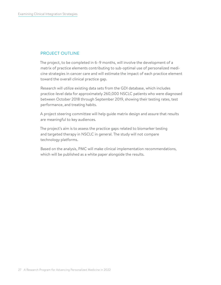#### PROJECT OUTLINE

The project, to be completed in 6–9 months, will involve the development of a matrix of practice elements contributing to sub-optimal use of personalized medicine strategies in cancer care and will estimate the impact of each practice element toward the overall clinical practice gap.

Research will utilize existing data sets from the GDI database, which includes practice-level data for approximately 260,000 NSCLC patients who were diagnosed between October 2018 through September 2019, showing their testing rates, test performance, and treating habits.

A project steering committee will help guide matrix design and assure that results are meaningful to key audiences.

The project's aim is to assess the practice gaps related to biomarker testing and targeted therapy in NSCLC in general. The study will not compare technology platforms.

Based on the analysis, PMC will make clinical implementation recommendations, which will be published as a white paper alongside the results.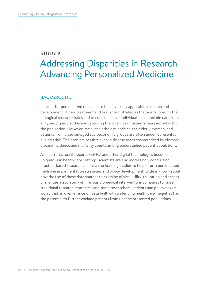#### <span id="page-27-0"></span>STUDY 9

### Addressing Disparities in Research Advancing Personalized Medicine

#### BACKGROUND

In order for personalized medicine to be universally applicable, research and development of new treatment and prevention strategies that are tailored to the biological characteristics and circumstances of individuals must include data from all types of people, thereby capturing the diversity of patients represented within the population. However, racial and ethnic minorities, the elderly, women, and patients from disadvantaged socioeconomic groups are often underrepresented in clinical trials. The problem persists even in disease areas characterized by elevated disease incidence and mortality counts among understudied patient populations.

As electronic health records (EHRs) and other digital technologies become ubiquitous in health care settings, scientists are also increasingly conducting practice-based research and machine learning studies to help inform personalized medicine implementation strategies and policy development. Little is known about how the use of these data sources to examine clinical utility, utilization and access challenges associated with various biomedical interventions compares to more traditional research strategies, and some researchers, patients and policymakers worry that an overreliance on data built with underlying health care inequities has the potential to further exclude patients from underrepresented populations.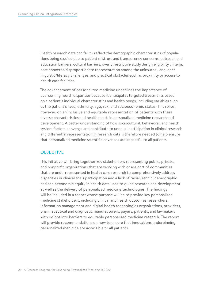Health research data can fail to reflect the demographic characteristics of populations being studied due to patient mistrust and transparency concerns, outreach and education barriers, cultural barriers, overly restrictive study design eligibility criteria, cost concerns/disproportionate representation among the uninsured, language/ linguistic/literacy challenges, and practical obstacles such as proximity or access to health care facilities.

The advancement of personalized medicine underlines the importance of overcoming health disparities because it anticipates targeted treatments based on a patient's individual characteristics and health needs, including variables such as the patient's race, ethnicity, age, sex, and socioeconomic status. This relies, however, on an inclusive and equitable representation of patients with these diverse characteristics and health needs in personalized medicine research and development. A better understanding of how sociocultural, behavioral, and health system factors converge and contribute to unequal participation in clinical research and differential representation in research data is therefore needed to help ensure that personalized medicine scientific advances are impactful to all patients.

#### **OBJECTIVE**

This initiative will bring together key stakeholders representing public, private, and nonprofit organizations that are working with or are part of communities that are underrepresented in health care research to comprehensively address disparities in clinical trials participation and a lack of racial, ethnic, demographic and socioeconomic equity in health data used to guide research and development as well as the delivery of personalized medicine technologies. The findings will be included in a report whose purpose will be to provide key personalized medicine stakeholders, including clinical and health outcomes researchers, information management and digital health technologies organizations, providers, pharmaceutical and diagnostic manufacturers, payers, patients, and lawmakers with insight into barriers to equitable personalized medicine research. The report will provide recommendations on how to ensure that innovations underpinning personalized medicine are accessible to all patients.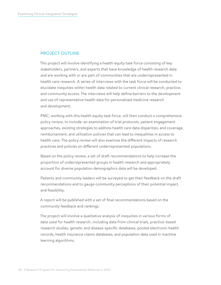#### PROJECT OUTLINE

This project will involve identifying a health equity task force consisting of key stakeholders, partners, and experts that have knowledge of health research data and are working with or are part of communities that are underrepresented in health care research. A series of interviews with the task force will be conducted to elucidate inequities within health data related to current clinical research, practice, and community access. The interviews will help define barriers to the development and use of representative health data for personalized medicine research and development.

PMC, working with this health equity task force, will then conduct a comprehensive policy review, to include: an examination of trial protocols, patient engagement approaches, existing strategies to address health care data disparities, and coverage, reimbursement, and utilization policies that can lead to inequalities in access to health care. The policy review will also examine the different impacts of research practices and policies on different underrepresented populations.

Based on the policy review, a set of draft recommendations to help increase the proportion of underrepresented groups in health research and appropriately account for diverse population demographics data will be developed.

Patients and community leaders will be surveyed to get their feedback on the draft recommendations and to gauge community perceptions of their potential impact and feasibility.

A report will be published with a set of final recommendations based on the community feedback and rankings.

The project will involve a qualitative analysis of inequities in various forms of data used for health research, including data from clinical trials, practice-based research studies, genetic and disease-specific databases, pooled electronic health records, health insurance claims databases, and population data used in machine learning algorithms.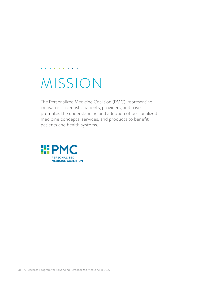# MISSION

 $\mathbf{a}$  , and  $\mathbf{a}$  , and  $\mathbf{a}$  , and  $\mathbf{a}$ 

The Personalized Medicine Coalition (PMC), representing innovators, scientists, patients, providers, and payers, promotes the understanding and adoption of personalized medicine concepts, services, and products to benefit patients and health systems.